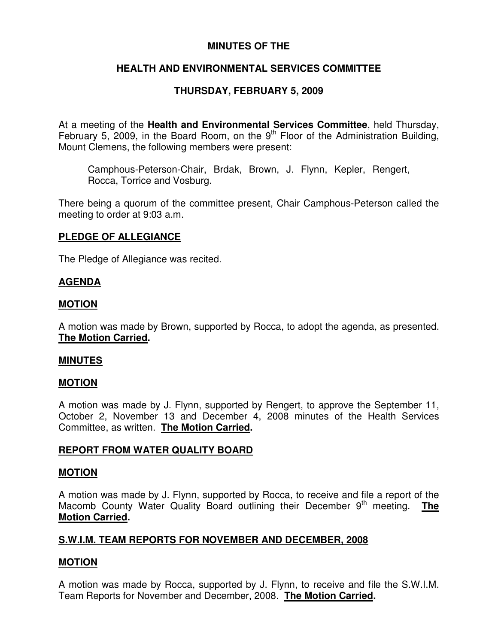## **MINUTES OF THE**

# **HEALTH AND ENVIRONMENTAL SERVICES COMMITTEE**

# **THURSDAY, FEBRUARY 5, 2009**

At a meeting of the **Health and Environmental Services Committee**, held Thursday, February 5, 2009, in the Board Room, on the  $9<sup>th</sup>$  Floor of the Administration Building, Mount Clemens, the following members were present:

Camphous-Peterson-Chair, Brdak, Brown, J. Flynn, Kepler, Rengert, Rocca, Torrice and Vosburg.

There being a quorum of the committee present, Chair Camphous-Peterson called the meeting to order at 9:03 a.m.

## **PLEDGE OF ALLEGIANCE**

The Pledge of Allegiance was recited.

### **AGENDA**

#### **MOTION**

A motion was made by Brown, supported by Rocca, to adopt the agenda, as presented. **The Motion Carried.**

#### **MINUTES**

#### **MOTION**

A motion was made by J. Flynn, supported by Rengert, to approve the September 11, October 2, November 13 and December 4, 2008 minutes of the Health Services Committee, as written. **The Motion Carried.**

#### **REPORT FROM WATER QUALITY BOARD**

#### **MOTION**

A motion was made by J. Flynn, supported by Rocca, to receive and file a report of the Macomb County Water Quality Board outlining their December 9<sup>th</sup> meeting. The **Motion Carried.**

## **S.W.I.M. TEAM REPORTS FOR NOVEMBER AND DECEMBER, 2008**

## **MOTION**

A motion was made by Rocca, supported by J. Flynn, to receive and file the S.W.I.M. Team Reports for November and December, 2008. **The Motion Carried.**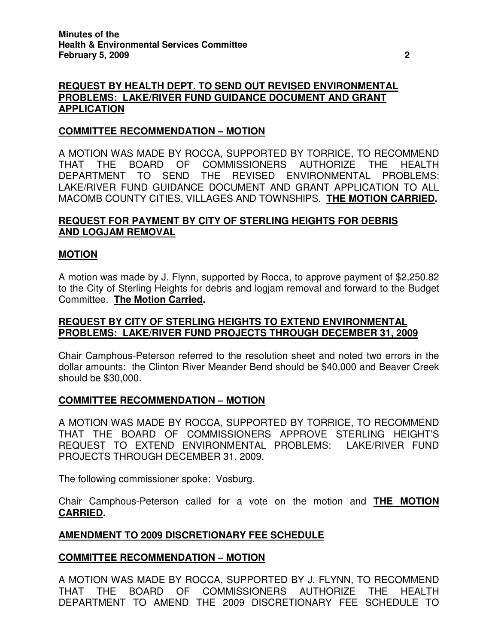# **REQUEST BY HEALTH DEPT. TO SEND OUT REVISED ENVIRONMENTAL PROBLEMS: LAKE/RIVER FUND GUIDANCE DOCUMENT AND GRANT APPLICATION**

### **COMMITTEE RECOMMENDATION – MOTION**

A MOTION WAS MADE BY ROCCA, SUPPORTED BY TORRICE, TO RECOMMEND THAT THE BOARD OF COMMISSIONERS AUTHORIZE THE HEALTH DEPARTMENT TO SEND THE REVISED ENVIRONMENTAL PROBLEMS: LAKE/RIVER FUND GUIDANCE DOCUMENT AND GRANT APPLICATION TO ALL MACOMB COUNTY CITIES, VILLAGES AND TOWNSHIPS. **THE MOTION CARRIED.**

### **REQUEST FOR PAYMENT BY CITY OF STERLING HEIGHTS FOR DEBRIS AND LOGJAM REMOVAL**

#### **MOTION**

A motion was made by J. Flynn, supported by Rocca, to approve payment of \$2,250.82 to the City of Sterling Heights for debris and logjam removal and forward to the Budget Committee. **The Motion Carried.**

## **REQUEST BY CITY OF STERLING HEIGHTS TO EXTEND ENVIRONMENTAL PROBLEMS: LAKE/RIVER FUND PROJECTS THROUGH DECEMBER 31, 2009**

Chair Camphous-Peterson referred to the resolution sheet and noted two errors in the dollar amounts: the Clinton River Meander Bend should be \$40,000 and Beaver Creek should be \$30,000.

#### **COMMITTEE RECOMMENDATION – MOTION**

A MOTION WAS MADE BY ROCCA, SUPPORTED BY TORRICE, TO RECOMMEND THAT THE BOARD OF COMMISSIONERS APPROVE STERLING HEIGHT'S REQUEST TO EXTEND ENVIRONMENTAL PROBLEMS: LAKE/RIVER FUND PROJECTS THROUGH DECEMBER 31, 2009.

The following commissioner spoke: Vosburg.

Chair Camphous-Peterson called for a vote on the motion and **THE MOTION CARRIED.**

#### **AMENDMENT TO 2009 DISCRETIONARY FEE SCHEDULE**

#### **COMMITTEE RECOMMENDATION – MOTION**

A MOTION WAS MADE BY ROCCA, SUPPORTED BY J. FLYNN, TO RECOMMEND THAT THE BOARD OF COMMISSIONERS AUTHORIZE THE HEALTH DEPARTMENT TO AMEND THE 2009 DISCRETIONARY FEE SCHEDULE TO